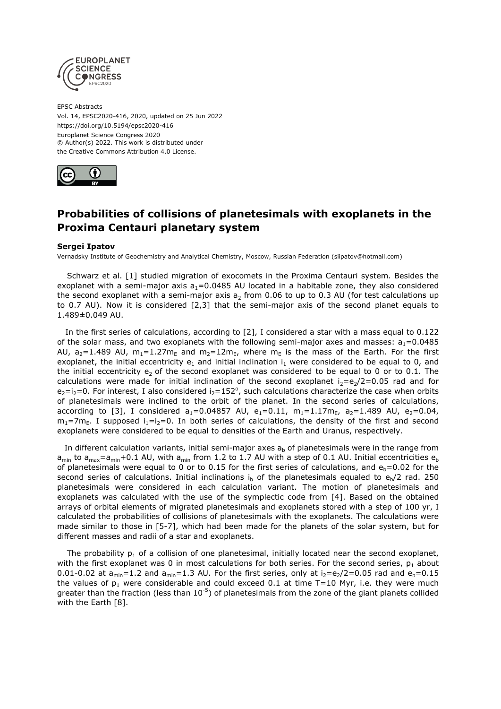

EPSC Abstracts Vol. 14, EPSC2020-416, 2020, updated on 25 Jun 2022 https://doi.org/10.5194/epsc2020-416 Europlanet Science Congress 2020 © Author(s) 2022. This work is distributed under the Creative Commons Attribution 4.0 License.



## **Probabilities of collisions of planetesimals with exoplanets in the Proxima Centauri planetary system**

## **Sergei Ipatov**

Vernadsky Institute of Geochemistry and Analytical Chemistry, Moscow, Russian Federation (siipatov@hotmail.com)

Schwarz et al. [1] studied migration of exocomets in the Proxima Centauri system. Besides the exoplanet with a semi-major axis  $a_1 = 0.0485$  AU located in a habitable zone, they also considered the second exoplanet with a semi-major axis  $a_2$  from 0.06 to up to 0.3 AU (for test calculations up to 0.7 AU). Now it is considered [2,3] that the semi-major axis of the second planet equals to 1.489±0.049 AU.

In the first series of calculations, according to [2], I considered a star with a mass equal to 0.122 of the solar mass, and two exoplanets with the following semi-major axes and masses:  $a_1=0.0485$ AU,  $a_2$ =1.489 AU,  $m_1$ =1.27 $m_E$  and  $m_2$ =12 $m_E$ , where  $m_E$  is the mass of the Earth. For the first exoplanet, the initial eccentricity  $e_1$  and initial inclination  $i_1$  were considered to be equal to 0, and the initial eccentricity  $e_2$  of the second exoplanet was considered to be equal to 0 or to 0.1. The calculations were made for initial inclination of the second exoplanet  $i_2=e_2/2=0.05$  rad and for  $e_2 = i_2 = 0$ . For interest, I also considered  $i_2 = 152^\circ$ , such calculations characterize the case when orbits of planetesimals were inclined to the orbit of the planet. In the second series of calculations, according to [3], I considered  $a_1 = 0.04857$  AU,  $e_1 = 0.11$ ,  $m_1 = 1.17m_F$ ,  $a_2 = 1.489$  AU,  $e_2 = 0.04$ ,  $m_1$ =7m<sub>E</sub>. I supposed  $i_1=i_2=0$ . In both series of calculations, the density of the first and second exoplanets were considered to be equal to densities of the Earth and Uranus, respectively.

In different calculation variants, initial semi-major axes  $a<sub>b</sub>$  of planetesimals were in the range from  $a_{min}$  to  $a_{max}=a_{min}+0.1$  AU, with  $a_{min}$  from 1.2 to 1.7 AU with a step of 0.1 AU. Initial eccentricities  $e_{b}$ of planetesimals were equal to 0 or to 0.15 for the first series of calculations, and  $e_b=0.02$  for the second series of calculations. Initial inclinations i<sub>b</sub> of the planetesimals equaled to  $e_h/2$  rad. 250 planetesimals were considered in each calculation variant. The motion of planetesimals and exoplanets was calculated with the use of the symplectic code from [4]. Based on the obtained arrays of orbital elements of migrated planetesimals and exoplanets stored with a step of 100 yr, I calculated the probabilities of collisions of planetesimals with the exoplanets. The calculations were made similar to those in [5-7], which had been made for the planets of the solar system, but for different masses and radii of a star and exoplanets.

The probability  $p_1$  of a collision of one planetesimal, initially located near the second exoplanet, with the first exoplanet was 0 in most calculations for both series. For the second series,  $p_1$  about 0.01-0.02 at  $a_{min}=1.2$  and  $a_{min}=1.3$  AU. For the first series, only at  $i_2=e_2/2=0.05$  rad and  $e_b=0.15$ the values of  $p_1$  were considerable and could exceed 0.1 at time T=10 Myr, i.e. they were much greater than the fraction (less than  $10^{-5}$ ) of planetesimals from the zone of the giant planets collided with the Earth [8].